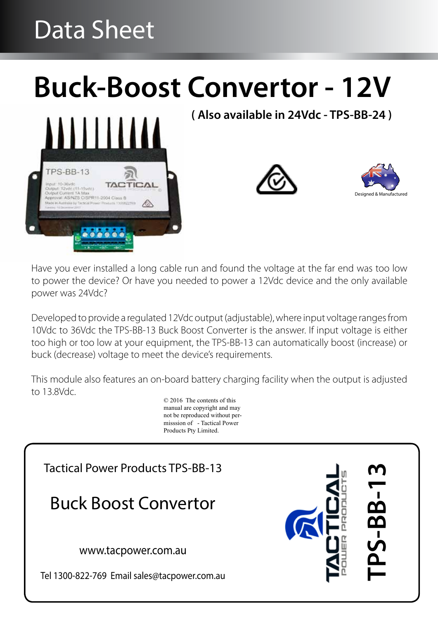# Data Sheet

# **Buck-Boost Convertor - 12V**



**( Also available in 24Vdc - TPS-BB-24 )**





Have you ever installed a long cable run and found the voltage at the far end was too low to power the device? Or have you needed to power a 12Vdc device and the only available power was 24Vdc?

Developed to provide a regulated 12Vdc output (adjustable), where input voltage ranges from 10Vdc to 36Vdc the TPS-BB-13 Buck Boost Converter is the answer. If input voltage is either too high or too low at your equipment, the TPS-BB-13 can automatically boost (increase) or buck (decrease) voltage to meet the device's requirements.

This module also features an on-board battery charging facility when the output is adjusted to 13.8Vdc.

© 2016 The contents of this manual are copyright and may not be reproduced without permisssion of - Tactical Power Products Pty Limited.

Tactical Power Products TPS-BB-13

Buck Boost Convertor

www.tacpower.com.au

Tel 1300-822-769 Email sales@tacpower.com.au